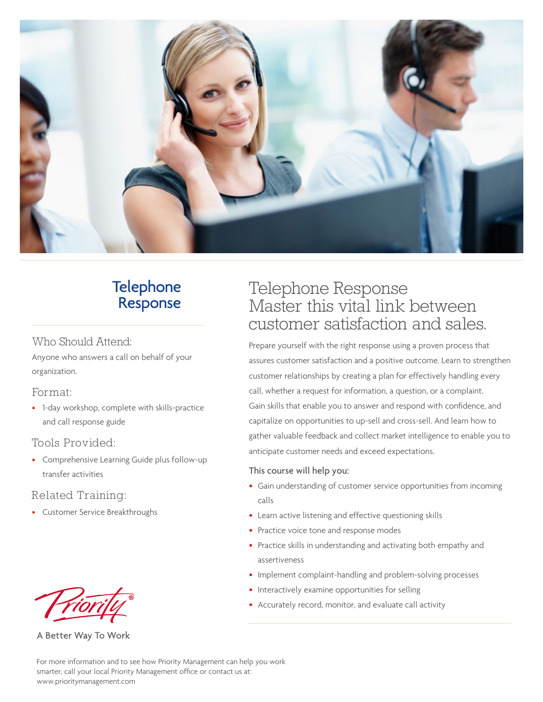

## **Telephone** Response

#### Who Should Attend:

Anyone who answers a call on behalf of your organization.

#### Format:

• 1-day workshop, complete with skills-practice and call response guide

## Tools Provided:

• Comprehensive Learning Guide plus follow-up transfer activities

## Related Training:

• Customer Service Breakthroughs



A Better Way To Work

# Telephone Response Master this vital link between customer satisfaction and sales.

Prepare yourself with the right response using a proven process that assures customer satisfaction and a positive outcome. Learn to strengthen customer relationships by creating a plan for effectively handling every call, whether a request for information, a question, or a complaint. Gain skills that enable you to answer and respond with confidence, and capitalize on opportunities to up-sell and cross-sell. And learn how to gather valuable feedback and collect market intelligence to enable you to anticipate customer needs and exceed expectations.

#### This course will help you:

- Gain understanding of customer service opportunities from incoming calls
- Learn active listening and effective questioning skills
- Practice voice tone and response modes
- Practice skills in understanding and activating both empathy and assertiveness
- Implement complaint-handling and problem-solving processes
- Interactively examine opportunities for selling
- Accurately record, monitor, and evaluate call activity

For more information and to see how Priority Management can help you work smarter, call your local Priority Management office or contact us at: www.prioritymanagement.com